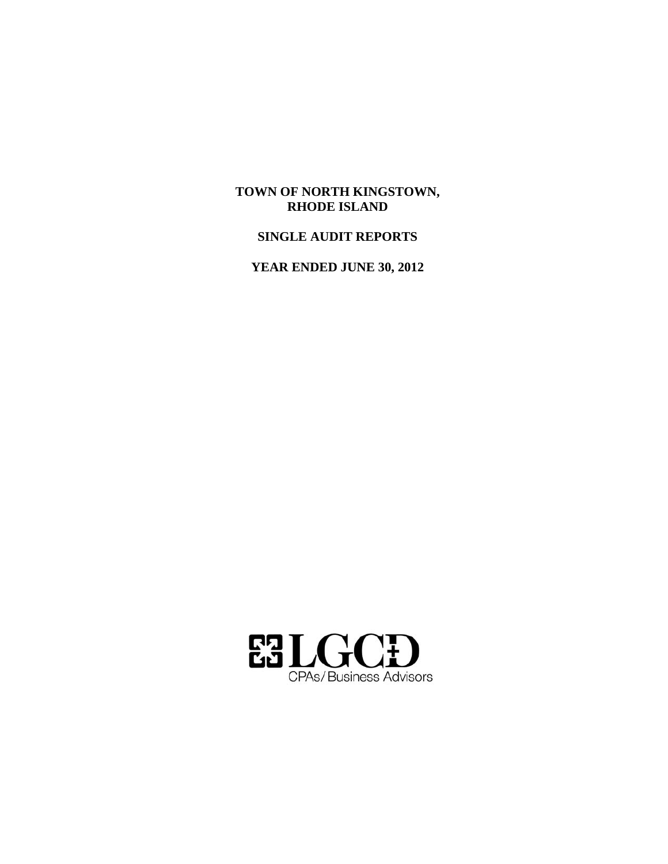# **SINGLE AUDIT REPORTS**

**YEAR ENDED JUNE 30, 2012** 

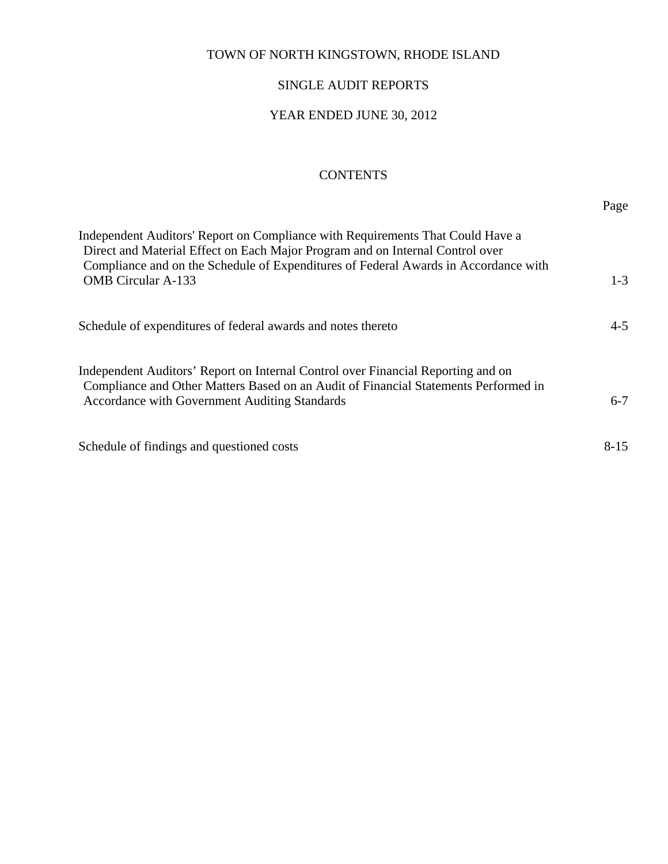# SINGLE AUDIT REPORTS

# YEAR ENDED JUNE 30, 2012

# **CONTENTS**

Page

| Independent Auditors' Report on Compliance with Requirements That Could Have a<br>Direct and Material Effect on Each Major Program and on Internal Control over<br>Compliance and on the Schedule of Expenditures of Federal Awards in Accordance with<br><b>OMB</b> Circular A-133 | $1 - 3$  |
|-------------------------------------------------------------------------------------------------------------------------------------------------------------------------------------------------------------------------------------------------------------------------------------|----------|
| Schedule of expenditures of federal awards and notes thereto                                                                                                                                                                                                                        | $4 - 5$  |
| Independent Auditors' Report on Internal Control over Financial Reporting and on<br>Compliance and Other Matters Based on an Audit of Financial Statements Performed in<br>Accordance with Government Auditing Standards                                                            | $6 - 7$  |
| Schedule of findings and questioned costs                                                                                                                                                                                                                                           | $8 - 15$ |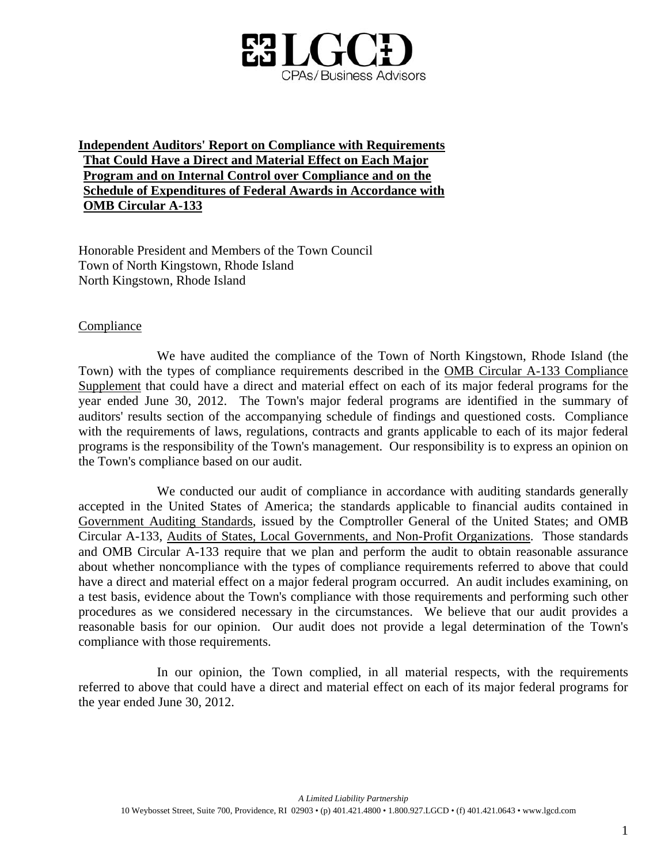

**Independent Auditors' Report on Compliance with Requirements That Could Have a Direct and Material Effect on Each Major Program and on Internal Control over Compliance and on the Schedule of Expenditures of Federal Awards in Accordance with OMB Circular A-133**

Honorable President and Members of the Town Council Town of North Kingstown, Rhode Island North Kingstown, Rhode Island

#### **Compliance**

 We have audited the compliance of the Town of North Kingstown, Rhode Island (the Town) with the types of compliance requirements described in the OMB Circular A-133 Compliance Supplement that could have a direct and material effect on each of its major federal programs for the year ended June 30, 2012. The Town's major federal programs are identified in the summary of auditors' results section of the accompanying schedule of findings and questioned costs. Compliance with the requirements of laws, regulations, contracts and grants applicable to each of its major federal programs is the responsibility of the Town's management. Our responsibility is to express an opinion on the Town's compliance based on our audit.

 We conducted our audit of compliance in accordance with auditing standards generally accepted in the United States of America; the standards applicable to financial audits contained in Government Auditing Standards, issued by the Comptroller General of the United States; and OMB Circular A-133, Audits of States, Local Governments, and Non-Profit Organizations. Those standards and OMB Circular A-133 require that we plan and perform the audit to obtain reasonable assurance about whether noncompliance with the types of compliance requirements referred to above that could have a direct and material effect on a major federal program occurred. An audit includes examining, on a test basis, evidence about the Town's compliance with those requirements and performing such other procedures as we considered necessary in the circumstances. We believe that our audit provides a reasonable basis for our opinion. Our audit does not provide a legal determination of the Town's compliance with those requirements.

 In our opinion, the Town complied, in all material respects, with the requirements referred to above that could have a direct and material effect on each of its major federal programs for the year ended June 30, 2012.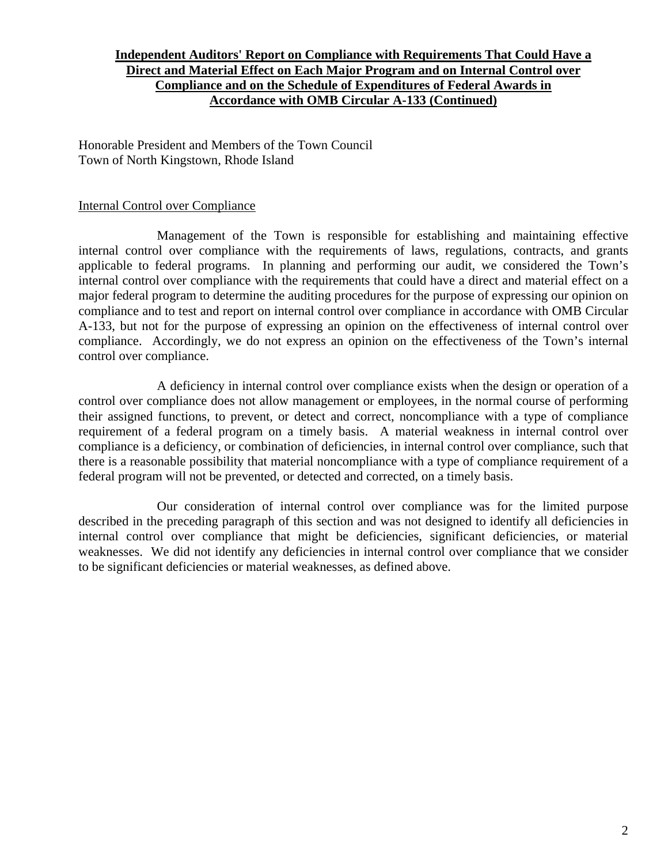## **Independent Auditors' Report on Compliance with Requirements That Could Have a Direct and Material Effect on Each Major Program and on Internal Control over Compliance and on the Schedule of Expenditures of Federal Awards in Accordance with OMB Circular A-133 (Continued)**

Honorable President and Members of the Town Council Town of North Kingstown, Rhode Island

## Internal Control over Compliance

 Management of the Town is responsible for establishing and maintaining effective internal control over compliance with the requirements of laws, regulations, contracts, and grants applicable to federal programs. In planning and performing our audit, we considered the Town's internal control over compliance with the requirements that could have a direct and material effect on a major federal program to determine the auditing procedures for the purpose of expressing our opinion on compliance and to test and report on internal control over compliance in accordance with OMB Circular A-133, but not for the purpose of expressing an opinion on the effectiveness of internal control over compliance. Accordingly, we do not express an opinion on the effectiveness of the Town's internal control over compliance.

 A deficiency in internal control over compliance exists when the design or operation of a control over compliance does not allow management or employees, in the normal course of performing their assigned functions, to prevent, or detect and correct, noncompliance with a type of compliance requirement of a federal program on a timely basis. A material weakness in internal control over compliance is a deficiency, or combination of deficiencies, in internal control over compliance, such that there is a reasonable possibility that material noncompliance with a type of compliance requirement of a federal program will not be prevented, or detected and corrected, on a timely basis.

 Our consideration of internal control over compliance was for the limited purpose described in the preceding paragraph of this section and was not designed to identify all deficiencies in internal control over compliance that might be deficiencies, significant deficiencies, or material weaknesses. We did not identify any deficiencies in internal control over compliance that we consider to be significant deficiencies or material weaknesses, as defined above.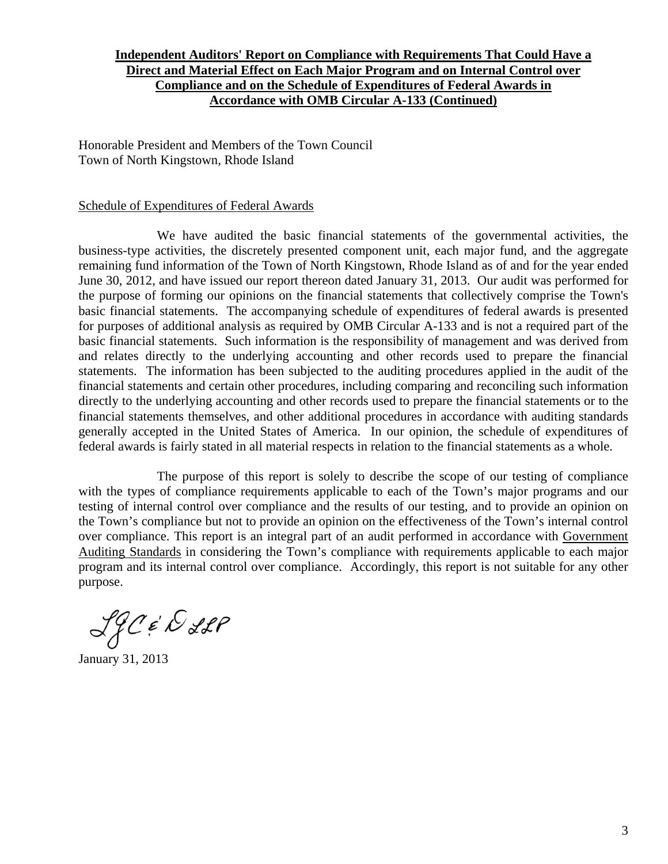### **Independent Auditors' Report on Compliance with Requirements That Could Have a Direct and Material Effect on Each Major Program and on Internal Control over Compliance and on the Schedule of Expenditures of Federal Awards in Accordance with OMB Circular A-133 (Continued)**

Honorable President and Members of the Town Council Town of North Kingstown, Rhode Island

#### Schedule of Expenditures of Federal Awards

 We have audited the basic financial statements of the governmental activities, the business-type activities, the discretely presented component unit, each major fund, and the aggregate remaining fund information of the Town of North Kingstown, Rhode Island as of and for the year ended June 30, 2012, and have issued our report thereon dated January 31, 2013. Our audit was performed for the purpose of forming our opinions on the financial statements that collectively comprise the Town's basic financial statements. The accompanying schedule of expenditures of federal awards is presented for purposes of additional analysis as required by OMB Circular A-133 and is not a required part of the basic financial statements. Such information is the responsibility of management and was derived from and relates directly to the underlying accounting and other records used to prepare the financial statements. The information has been subjected to the auditing procedures applied in the audit of the financial statements and certain other procedures, including comparing and reconciling such information directly to the underlying accounting and other records used to prepare the financial statements or to the financial statements themselves, and other additional procedures in accordance with auditing standards generally accepted in the United States of America. In our opinion, the schedule of expenditures of federal awards is fairly stated in all material respects in relation to the financial statements as a whole.

 The purpose of this report is solely to describe the scope of our testing of compliance with the types of compliance requirements applicable to each of the Town's major programs and our testing of internal control over compliance and the results of our testing, and to provide an opinion on the Town's compliance but not to provide an opinion on the effectiveness of the Town's internal control over compliance. This report is an integral part of an audit performed in accordance with Government Auditing Standards in considering the Town's compliance with requirements applicable to each major program and its internal control over compliance. Accordingly, this report is not suitable for any other purpose.

LGCED LLP

January 31, 2013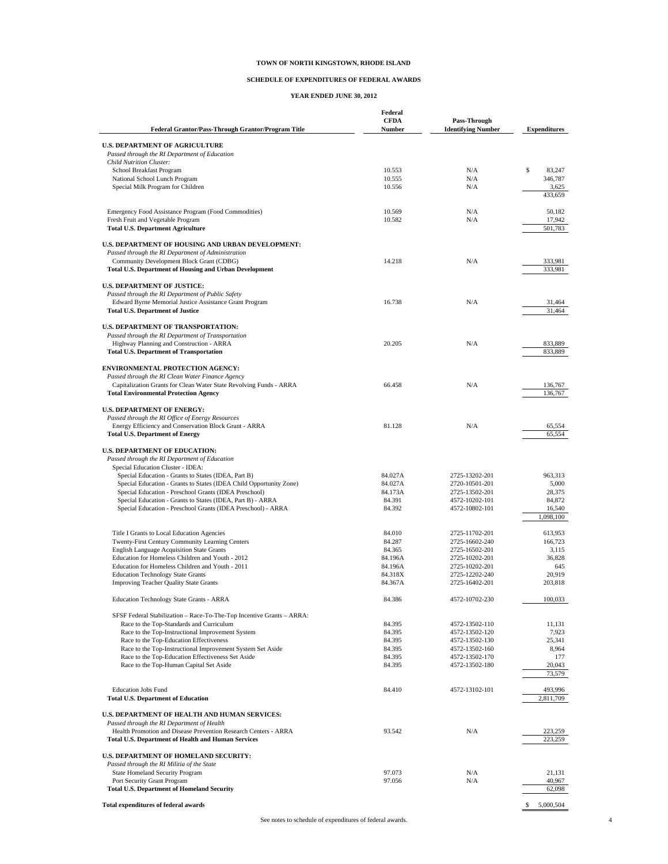#### **SCHEDULE OF EXPENDITURES OF FEDERAL AWARDS**

#### **YEAR ENDED JUNE 30, 2012**

|                                                                                                                             | Federal<br><b>CFDA</b> | Pass-Through                     |                      |
|-----------------------------------------------------------------------------------------------------------------------------|------------------------|----------------------------------|----------------------|
| Federal Grantor/Pass-Through Grantor/Program Title                                                                          | Number                 | <b>Identifying Number</b>        | <b>Expenditures</b>  |
| U.S. DEPARTMENT OF AGRICULTURE<br>Passed through the RI Department of Education                                             |                        |                                  |                      |
| <b>Child Nutrition Cluster:</b><br>School Breakfast Program                                                                 | 10.553                 | N/A                              | \$<br>83,247         |
| National School Lunch Program                                                                                               | 10.555                 | N/A                              | 346,787              |
| Special Milk Program for Children                                                                                           | 10.556                 | N/A                              | 3,625                |
|                                                                                                                             |                        |                                  | 433,659              |
| Emergency Food Assistance Program (Food Commodities)                                                                        | 10.569                 | N/A                              | 50,182               |
| Fresh Fruit and Vegetable Program                                                                                           | 10.582                 | N/A                              | 17,942               |
| <b>Total U.S. Department Agriculture</b>                                                                                    |                        |                                  | 501,783              |
| U.S. DEPARTMENT OF HOUSING AND URBAN DEVELOPMENT:                                                                           |                        |                                  |                      |
| Passed through the RI Department of Administration                                                                          |                        |                                  |                      |
| Community Development Block Grant (CDBG)                                                                                    | 14.218                 | N/A                              | 333,981              |
| <b>Total U.S. Department of Housing and Urban Development</b>                                                               |                        |                                  | 333,981              |
| <b>U.S. DEPARTMENT OF JUSTICE:</b>                                                                                          |                        |                                  |                      |
| Passed through the RI Department of Public Safety                                                                           |                        |                                  |                      |
| Edward Byrne Memorial Justice Assistance Grant Program<br><b>Total U.S. Department of Justice</b>                           | 16.738                 | N/A                              | 31,464<br>31,464     |
|                                                                                                                             |                        |                                  |                      |
| U.S. DEPARTMENT OF TRANSPORTATION:                                                                                          |                        |                                  |                      |
| Passed through the RI Department of Transportation<br>Highway Planning and Construction - ARRA                              | 20.205                 | N/A                              | 833,889              |
| <b>Total U.S. Department of Transportation</b>                                                                              |                        |                                  | 833,889              |
|                                                                                                                             |                        |                                  |                      |
| ENVIRONMENTAL PROTECTION AGENCY:                                                                                            |                        |                                  |                      |
| Passed through the RI Clean Water Finance Agency<br>Capitalization Grants for Clean Water State Revolving Funds - ARRA      | 66.458                 | N/A                              | 136,767              |
| <b>Total Environmental Protection Agency</b>                                                                                |                        |                                  | 136,767              |
|                                                                                                                             |                        |                                  |                      |
| <b>U.S. DEPARTMENT OF ENERGY:</b><br>Passed through the RI Office of Energy Resources                                       |                        |                                  |                      |
| Energy Efficiency and Conservation Block Grant - ARRA                                                                       | 81.128                 | N/A                              | 65,554               |
| <b>Total U.S. Department of Energy</b>                                                                                      |                        |                                  | 65,554               |
| <b>U.S. DEPARTMENT OF EDUCATION:</b><br>Passed through the RI Department of Education<br>Special Education Cluster - IDEA:  |                        |                                  |                      |
| Special Education - Grants to States (IDEA, Part B)                                                                         | 84.027A                | 2725-13202-201                   | 963,313              |
| Special Education - Grants to States (IDEA Child Opportunity Zone)<br>Special Education - Preschool Grants (IDEA Preschool) | 84.027A<br>84.173A     | 2720-10501-201<br>2725-13502-201 | 5,000<br>28,375      |
| Special Education - Grants to States (IDEA, Part B) - ARRA                                                                  | 84.391                 | 4572-10202-101                   | 84,872               |
| Special Education - Preschool Grants (IDEA Preschool) - ARRA                                                                | 84.392                 | 4572-10802-101                   | 16,540               |
|                                                                                                                             |                        |                                  | 1,098,100            |
| Title I Grants to Local Education Agencies                                                                                  | 84.010                 | 2725-11702-201                   | 613,953              |
| Twenty-First Century Community Learning Centers                                                                             | 84.287                 | 2725-16602-240                   | 166,723              |
| English Language Acquisition State Grants                                                                                   | 84.365                 | 2725-16502-201                   | 3,115                |
| Education for Homeless Children and Youth - 2012<br>Education for Homeless Children and Youth - 2011                        | 84.196A<br>84.196A     | 2725-10202-201<br>2725-10202-201 | 36,828<br>645        |
| <b>Education Technology State Grants</b>                                                                                    | 84.318X                | 2725-12202-240                   | 20,919               |
| <b>Improving Teacher Quality State Grants</b>                                                                               | 84.367A                | 2725-16402-201                   | 203,818              |
| <b>Education Technology State Grants - ARRA</b>                                                                             | 84.386                 | 4572-10702-230                   | 100,033              |
|                                                                                                                             |                        |                                  |                      |
| SFSF Federal Stabilization - Race-To-The-Top Incentive Grants - ARRA:                                                       |                        |                                  |                      |
| Race to the Top-Standards and Curriculum<br>Race to the Top-Instructional Improvement System                                | 84.395<br>84.395       | 4572-13502-110<br>4572-13502-120 | 11,131<br>7,923      |
| Race to the Top-Education Effectiveness                                                                                     | 84.395                 | 4572-13502-130                   | 25,341               |
| Race to the Top-Instructional Improvement System Set Aside                                                                  | 84.395                 | 4572-13502-160                   | 8,964                |
| Race to the Top-Education Effectiveness Set Aside<br>Race to the Top-Human Capital Set Aside                                | 84.395<br>84.395       | 4572-13502-170<br>4572-13502-180 | 177<br>20,043        |
|                                                                                                                             |                        |                                  | 73,579               |
|                                                                                                                             |                        |                                  |                      |
| <b>Education Jobs Fund</b><br><b>Total U.S. Department of Education</b>                                                     | 84.410                 | 4572-13102-101                   | 493,996<br>2,811,709 |
|                                                                                                                             |                        |                                  |                      |
| U.S. DEPARTMENT OF HEALTH AND HUMAN SERVICES:                                                                               |                        |                                  |                      |
| Passed through the RI Department of Health<br>Health Promotion and Disease Prevention Research Centers - ARRA               | 93.542                 | N/A                              | 223,259              |
| <b>Total U.S. Department of Health and Human Services</b>                                                                   |                        |                                  | 223,259              |
|                                                                                                                             |                        |                                  |                      |
| U.S. DEPARTMENT OF HOMELAND SECURITY:<br>Passed through the RI Militia of the State                                         |                        |                                  |                      |
| <b>State Homeland Security Program</b>                                                                                      | 97.073                 | N/A                              | 21,131               |
| Port Security Grant Program                                                                                                 | 97.056                 | N/A                              | 40,967               |
| <b>Total U.S. Department of Homeland Security</b>                                                                           |                        |                                  | 62,098               |
| Total expenditures of federal awards                                                                                        |                        |                                  | 5,000,504<br>\$      |

See notes to schedule of expenditures of federal awards. 4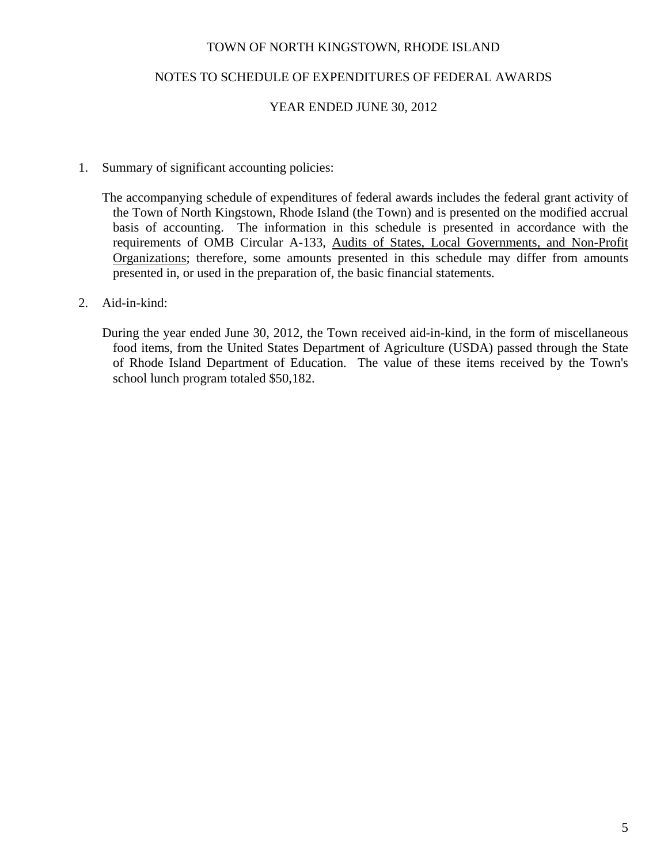## NOTES TO SCHEDULE OF EXPENDITURES OF FEDERAL AWARDS

### YEAR ENDED JUNE 30, 2012

1. Summary of significant accounting policies:

 The accompanying schedule of expenditures of federal awards includes the federal grant activity of the Town of North Kingstown, Rhode Island (the Town) and is presented on the modified accrual basis of accounting. The information in this schedule is presented in accordance with the requirements of OMB Circular A-133, Audits of States, Local Governments, and Non-Profit Organizations; therefore, some amounts presented in this schedule may differ from amounts presented in, or used in the preparation of, the basic financial statements.

#### 2. Aid-in-kind:

 During the year ended June 30, 2012, the Town received aid-in-kind, in the form of miscellaneous food items, from the United States Department of Agriculture (USDA) passed through the State of Rhode Island Department of Education. The value of these items received by the Town's school lunch program totaled \$50,182.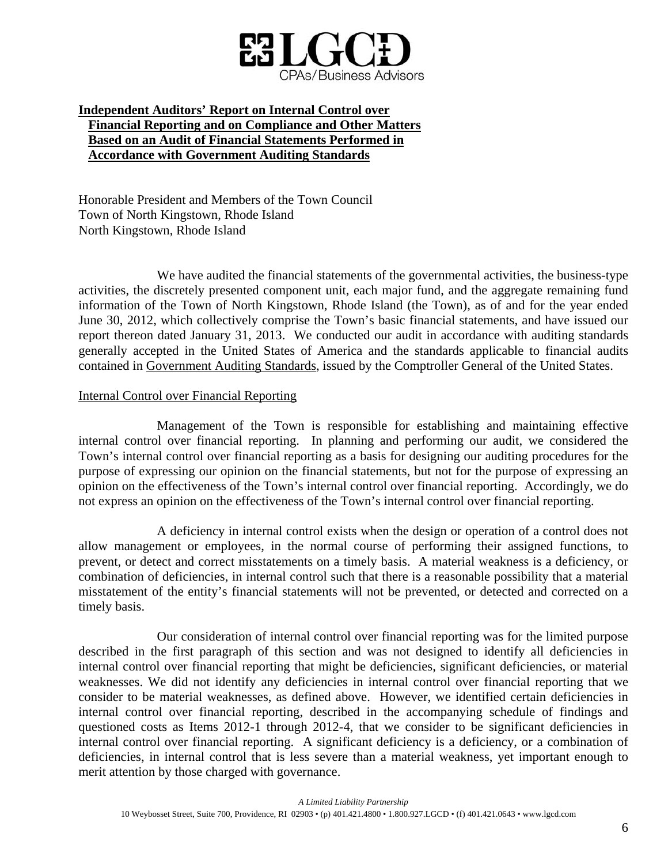

## **Independent Auditors' Report on Internal Control over Financial Reporting and on Compliance and Other Matters Based on an Audit of Financial Statements Performed in Accordance with Government Auditing Standards**

Honorable President and Members of the Town Council Town of North Kingstown, Rhode Island North Kingstown, Rhode Island

 We have audited the financial statements of the governmental activities, the business-type activities, the discretely presented component unit, each major fund, and the aggregate remaining fund information of the Town of North Kingstown, Rhode Island (the Town), as of and for the year ended June 30, 2012, which collectively comprise the Town's basic financial statements, and have issued our report thereon dated January 31, 2013. We conducted our audit in accordance with auditing standards generally accepted in the United States of America and the standards applicable to financial audits contained in Government Auditing Standards, issued by the Comptroller General of the United States.

#### Internal Control over Financial Reporting

 Management of the Town is responsible for establishing and maintaining effective internal control over financial reporting. In planning and performing our audit, we considered the Town's internal control over financial reporting as a basis for designing our auditing procedures for the purpose of expressing our opinion on the financial statements, but not for the purpose of expressing an opinion on the effectiveness of the Town's internal control over financial reporting. Accordingly, we do not express an opinion on the effectiveness of the Town's internal control over financial reporting.

 A deficiency in internal control exists when the design or operation of a control does not allow management or employees, in the normal course of performing their assigned functions, to prevent, or detect and correct misstatements on a timely basis. A material weakness is a deficiency, or combination of deficiencies, in internal control such that there is a reasonable possibility that a material misstatement of the entity's financial statements will not be prevented, or detected and corrected on a timely basis.

 Our consideration of internal control over financial reporting was for the limited purpose described in the first paragraph of this section and was not designed to identify all deficiencies in internal control over financial reporting that might be deficiencies, significant deficiencies, or material weaknesses. We did not identify any deficiencies in internal control over financial reporting that we consider to be material weaknesses, as defined above. However, we identified certain deficiencies in internal control over financial reporting, described in the accompanying schedule of findings and questioned costs as Items 2012-1 through 2012-4, that we consider to be significant deficiencies in internal control over financial reporting. A significant deficiency is a deficiency, or a combination of deficiencies, in internal control that is less severe than a material weakness, yet important enough to merit attention by those charged with governance.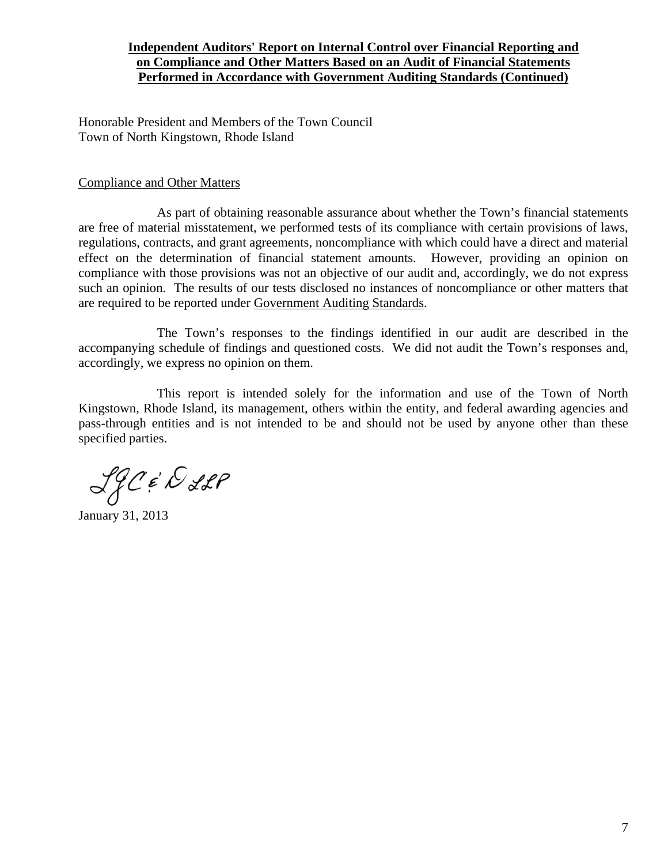## **Independent Auditors' Report on Internal Control over Financial Reporting and on Compliance and Other Matters Based on an Audit of Financial Statements Performed in Accordance with Government Auditing Standards (Continued)**

Honorable President and Members of the Town Council Town of North Kingstown, Rhode Island

#### Compliance and Other Matters

 As part of obtaining reasonable assurance about whether the Town's financial statements are free of material misstatement, we performed tests of its compliance with certain provisions of laws, regulations, contracts, and grant agreements, noncompliance with which could have a direct and material effect on the determination of financial statement amounts. However, providing an opinion on compliance with those provisions was not an objective of our audit and, accordingly, we do not express such an opinion. The results of our tests disclosed no instances of noncompliance or other matters that are required to be reported under Government Auditing Standards.

 The Town's responses to the findings identified in our audit are described in the accompanying schedule of findings and questioned costs. We did not audit the Town's responses and, accordingly, we express no opinion on them.

 This report is intended solely for the information and use of the Town of North Kingstown, Rhode Island, its management, others within the entity, and federal awarding agencies and pass-through entities and is not intended to be and should not be used by anyone other than these specified parties.

LGCED LLP

January 31, 2013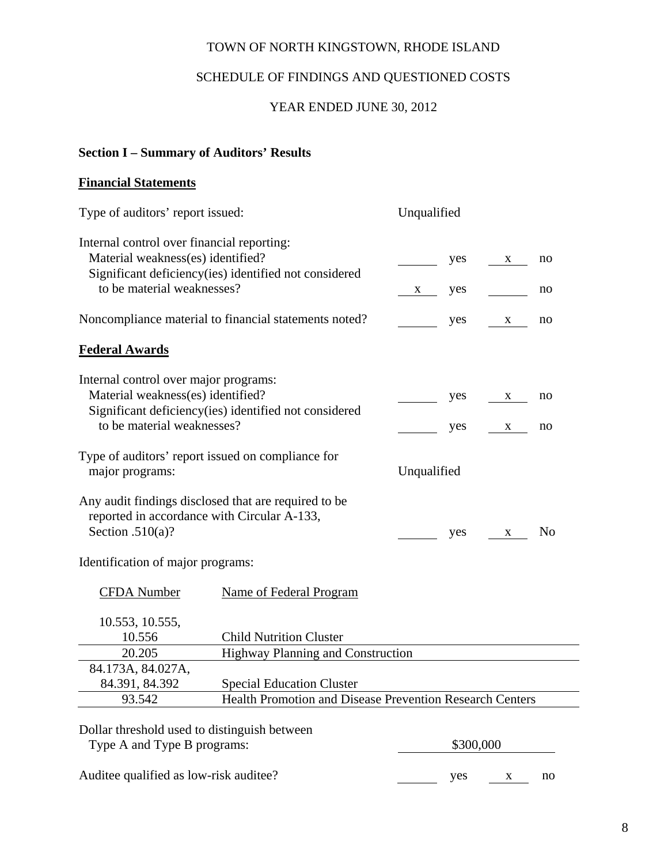# SCHEDULE OF FINDINGS AND QUESTIONED COSTS

# YEAR ENDED JUNE 30, 2012

# **Section I – Summary of Auditors' Results**

# **Financial Statements**

| Type of auditors' report issued:                                                                              |                                                                                                     | Unqualified     |                    |  |  |  |
|---------------------------------------------------------------------------------------------------------------|-----------------------------------------------------------------------------------------------------|-----------------|--------------------|--|--|--|
| Internal control over financial reporting:<br>Material weakness(es) identified?<br>to be material weaknesses? | Significant deficiency(ies) identified not considered                                               | yes<br>yes<br>X | X<br>no<br>no      |  |  |  |
|                                                                                                               | Noncompliance material to financial statements noted?                                               | yes             | no<br>X            |  |  |  |
| <b>Federal Awards</b>                                                                                         |                                                                                                     |                 |                    |  |  |  |
| Internal control over major programs:<br>Material weakness(es) identified?<br>to be material weaknesses?      | Significant deficiency(ies) identified not considered                                               | yes<br>yes      | X<br>no<br>no<br>X |  |  |  |
| Type of auditors' report issued on compliance for<br>major programs:                                          |                                                                                                     | Unqualified     |                    |  |  |  |
| Section .510(a)?                                                                                              | Any audit findings disclosed that are required to be<br>reported in accordance with Circular A-133, | yes             | No<br>X            |  |  |  |
| Identification of major programs:                                                                             |                                                                                                     |                 |                    |  |  |  |
| <b>CFDA</b> Number                                                                                            | <b>Name of Federal Program</b>                                                                      |                 |                    |  |  |  |
| 10.553, 10.555,<br>10.556<br>20.205<br>84.173A, 84.027A,                                                      | <b>Child Nutrition Cluster</b><br><b>Highway Planning and Construction</b>                          |                 |                    |  |  |  |
| 84.391, 84.392                                                                                                | <b>Special Education Cluster</b>                                                                    |                 |                    |  |  |  |
| 93.542                                                                                                        | Health Promotion and Disease Prevention Research Centers                                            |                 |                    |  |  |  |
| Dollar threshold used to distinguish between<br>Type A and Type B programs:                                   |                                                                                                     | \$300,000       |                    |  |  |  |
| Auditee qualified as low-risk auditee?                                                                        |                                                                                                     | yes             | X<br>no            |  |  |  |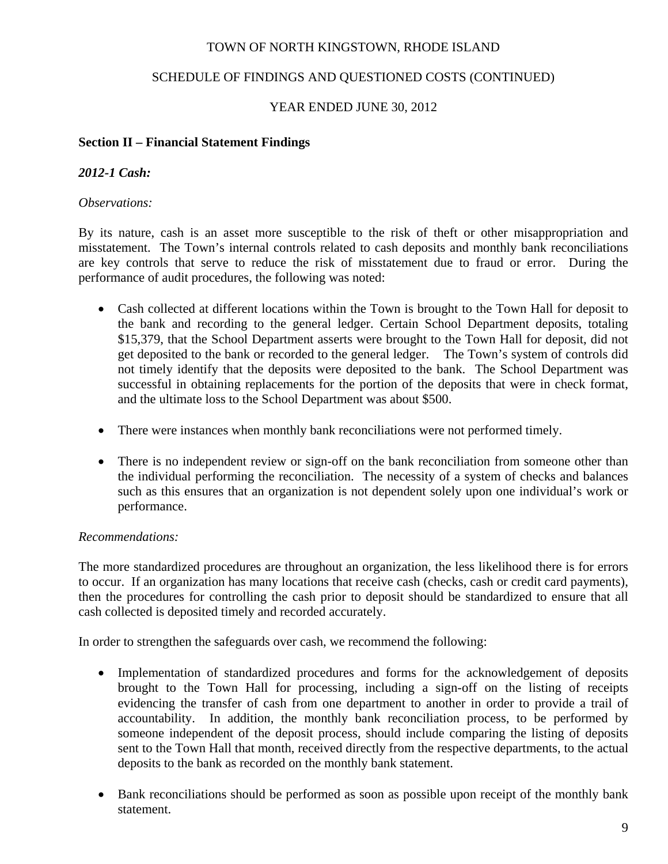## SCHEDULE OF FINDINGS AND QUESTIONED COSTS (CONTINUED)

## YEAR ENDED JUNE 30, 2012

#### **Section II – Financial Statement Findings**

#### *2012-1 Cash:*

#### *Observations:*

By its nature, cash is an asset more susceptible to the risk of theft or other misappropriation and misstatement. The Town's internal controls related to cash deposits and monthly bank reconciliations are key controls that serve to reduce the risk of misstatement due to fraud or error. During the performance of audit procedures, the following was noted:

- Cash collected at different locations within the Town is brought to the Town Hall for deposit to the bank and recording to the general ledger. Certain School Department deposits, totaling \$15,379, that the School Department asserts were brought to the Town Hall for deposit, did not get deposited to the bank or recorded to the general ledger. The Town's system of controls did not timely identify that the deposits were deposited to the bank. The School Department was successful in obtaining replacements for the portion of the deposits that were in check format, and the ultimate loss to the School Department was about \$500.
- There were instances when monthly bank reconciliations were not performed timely.
- There is no independent review or sign-off on the bank reconciliation from someone other than the individual performing the reconciliation. The necessity of a system of checks and balances such as this ensures that an organization is not dependent solely upon one individual's work or performance.

### *Recommendations:*

The more standardized procedures are throughout an organization, the less likelihood there is for errors to occur. If an organization has many locations that receive cash (checks, cash or credit card payments), then the procedures for controlling the cash prior to deposit should be standardized to ensure that all cash collected is deposited timely and recorded accurately.

In order to strengthen the safeguards over cash, we recommend the following:

- Implementation of standardized procedures and forms for the acknowledgement of deposits brought to the Town Hall for processing, including a sign-off on the listing of receipts evidencing the transfer of cash from one department to another in order to provide a trail of accountability. In addition, the monthly bank reconciliation process, to be performed by someone independent of the deposit process, should include comparing the listing of deposits sent to the Town Hall that month, received directly from the respective departments, to the actual deposits to the bank as recorded on the monthly bank statement.
- Bank reconciliations should be performed as soon as possible upon receipt of the monthly bank statement.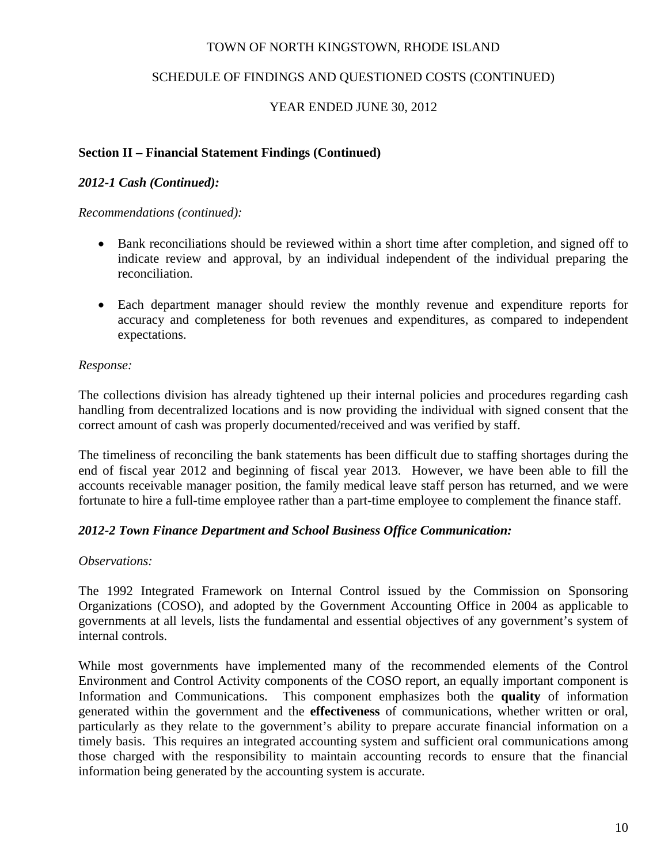## SCHEDULE OF FINDINGS AND QUESTIONED COSTS (CONTINUED)

# YEAR ENDED JUNE 30, 2012

## **Section II – Financial Statement Findings (Continued)**

## *2012-1 Cash (Continued):*

#### *Recommendations (continued):*

- Bank reconciliations should be reviewed within a short time after completion, and signed off to indicate review and approval, by an individual independent of the individual preparing the reconciliation.
- Each department manager should review the monthly revenue and expenditure reports for accuracy and completeness for both revenues and expenditures, as compared to independent expectations.

#### *Response:*

The collections division has already tightened up their internal policies and procedures regarding cash handling from decentralized locations and is now providing the individual with signed consent that the correct amount of cash was properly documented/received and was verified by staff.

The timeliness of reconciling the bank statements has been difficult due to staffing shortages during the end of fiscal year 2012 and beginning of fiscal year 2013. However, we have been able to fill the accounts receivable manager position, the family medical leave staff person has returned, and we were fortunate to hire a full-time employee rather than a part-time employee to complement the finance staff.

#### *2012-2 Town Finance Department and School Business Office Communication:*

#### *Observations:*

The 1992 Integrated Framework on Internal Control issued by the Commission on Sponsoring Organizations (COSO), and adopted by the Government Accounting Office in 2004 as applicable to governments at all levels, lists the fundamental and essential objectives of any government's system of internal controls.

While most governments have implemented many of the recommended elements of the Control Environment and Control Activity components of the COSO report, an equally important component is Information and Communications. This component emphasizes both the **quality** of information generated within the government and the **effectiveness** of communications, whether written or oral, particularly as they relate to the government's ability to prepare accurate financial information on a timely basis. This requires an integrated accounting system and sufficient oral communications among those charged with the responsibility to maintain accounting records to ensure that the financial information being generated by the accounting system is accurate.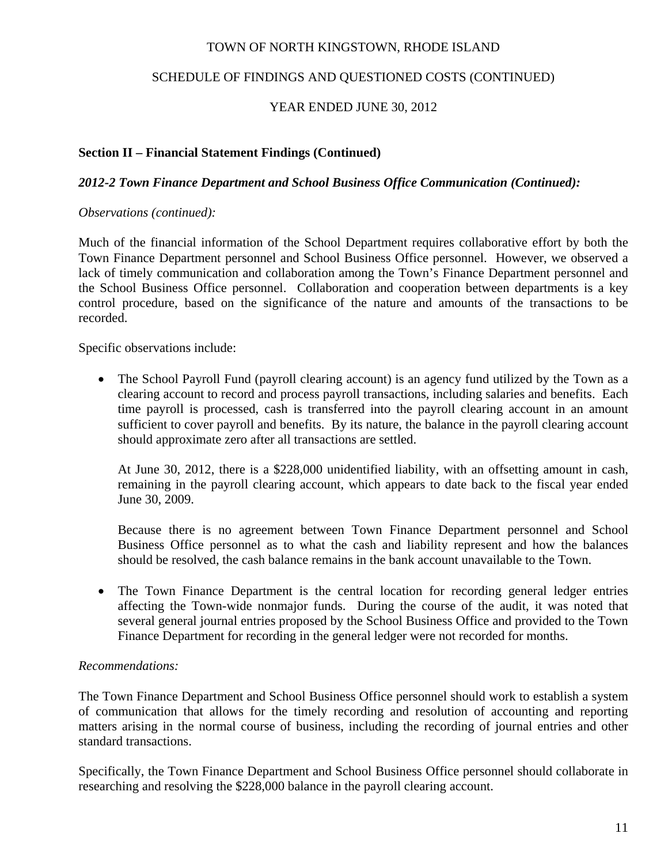## SCHEDULE OF FINDINGS AND QUESTIONED COSTS (CONTINUED)

# YEAR ENDED JUNE 30, 2012

## **Section II – Financial Statement Findings (Continued)**

## *2012-2 Town Finance Department and School Business Office Communication (Continued):*

#### *Observations (continued):*

Much of the financial information of the School Department requires collaborative effort by both the Town Finance Department personnel and School Business Office personnel. However, we observed a lack of timely communication and collaboration among the Town's Finance Department personnel and the School Business Office personnel. Collaboration and cooperation between departments is a key control procedure, based on the significance of the nature and amounts of the transactions to be recorded.

Specific observations include:

• The School Payroll Fund (payroll clearing account) is an agency fund utilized by the Town as a clearing account to record and process payroll transactions, including salaries and benefits. Each time payroll is processed, cash is transferred into the payroll clearing account in an amount sufficient to cover payroll and benefits. By its nature, the balance in the payroll clearing account should approximate zero after all transactions are settled.

At June 30, 2012, there is a \$228,000 unidentified liability, with an offsetting amount in cash, remaining in the payroll clearing account, which appears to date back to the fiscal year ended June 30, 2009.

Because there is no agreement between Town Finance Department personnel and School Business Office personnel as to what the cash and liability represent and how the balances should be resolved, the cash balance remains in the bank account unavailable to the Town.

• The Town Finance Department is the central location for recording general ledger entries affecting the Town-wide nonmajor funds. During the course of the audit, it was noted that several general journal entries proposed by the School Business Office and provided to the Town Finance Department for recording in the general ledger were not recorded for months.

## *Recommendations:*

The Town Finance Department and School Business Office personnel should work to establish a system of communication that allows for the timely recording and resolution of accounting and reporting matters arising in the normal course of business, including the recording of journal entries and other standard transactions.

Specifically, the Town Finance Department and School Business Office personnel should collaborate in researching and resolving the \$228,000 balance in the payroll clearing account.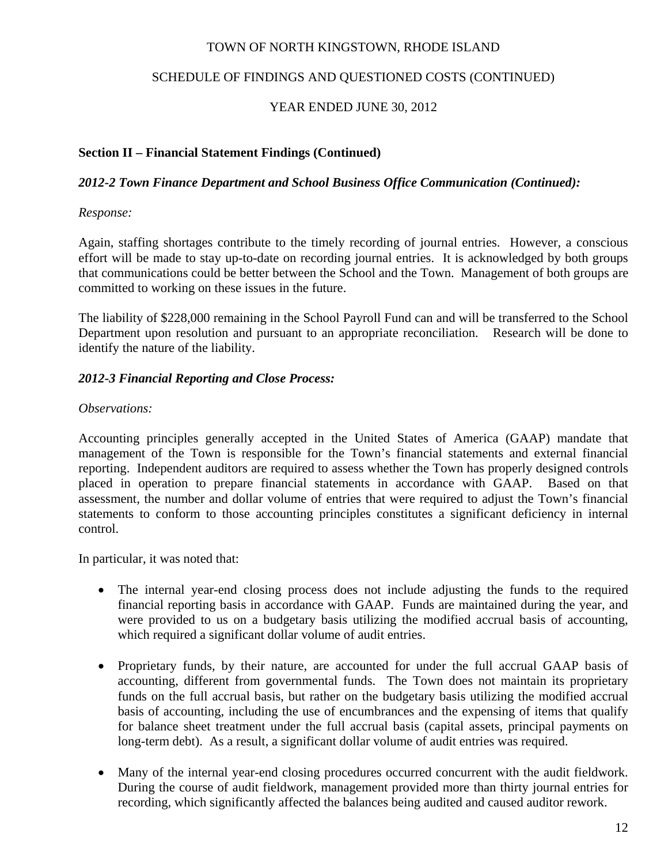## SCHEDULE OF FINDINGS AND QUESTIONED COSTS (CONTINUED)

## YEAR ENDED JUNE 30, 2012

# **Section II – Financial Statement Findings (Continued)**

## *2012-2 Town Finance Department and School Business Office Communication (Continued):*

## *Response:*

Again, staffing shortages contribute to the timely recording of journal entries. However, a conscious effort will be made to stay up-to-date on recording journal entries. It is acknowledged by both groups that communications could be better between the School and the Town. Management of both groups are committed to working on these issues in the future.

The liability of \$228,000 remaining in the School Payroll Fund can and will be transferred to the School Department upon resolution and pursuant to an appropriate reconciliation. Research will be done to identify the nature of the liability.

## *2012-3 Financial Reporting and Close Process:*

## *Observations:*

Accounting principles generally accepted in the United States of America (GAAP) mandate that management of the Town is responsible for the Town's financial statements and external financial reporting. Independent auditors are required to assess whether the Town has properly designed controls placed in operation to prepare financial statements in accordance with GAAP. Based on that assessment, the number and dollar volume of entries that were required to adjust the Town's financial statements to conform to those accounting principles constitutes a significant deficiency in internal control.

In particular, it was noted that:

- The internal year-end closing process does not include adjusting the funds to the required financial reporting basis in accordance with GAAP. Funds are maintained during the year, and were provided to us on a budgetary basis utilizing the modified accrual basis of accounting, which required a significant dollar volume of audit entries.
- Proprietary funds, by their nature, are accounted for under the full accrual GAAP basis of accounting, different from governmental funds. The Town does not maintain its proprietary funds on the full accrual basis, but rather on the budgetary basis utilizing the modified accrual basis of accounting, including the use of encumbrances and the expensing of items that qualify for balance sheet treatment under the full accrual basis (capital assets, principal payments on long-term debt). As a result, a significant dollar volume of audit entries was required.
- Many of the internal year-end closing procedures occurred concurrent with the audit fieldwork. During the course of audit fieldwork, management provided more than thirty journal entries for recording, which significantly affected the balances being audited and caused auditor rework.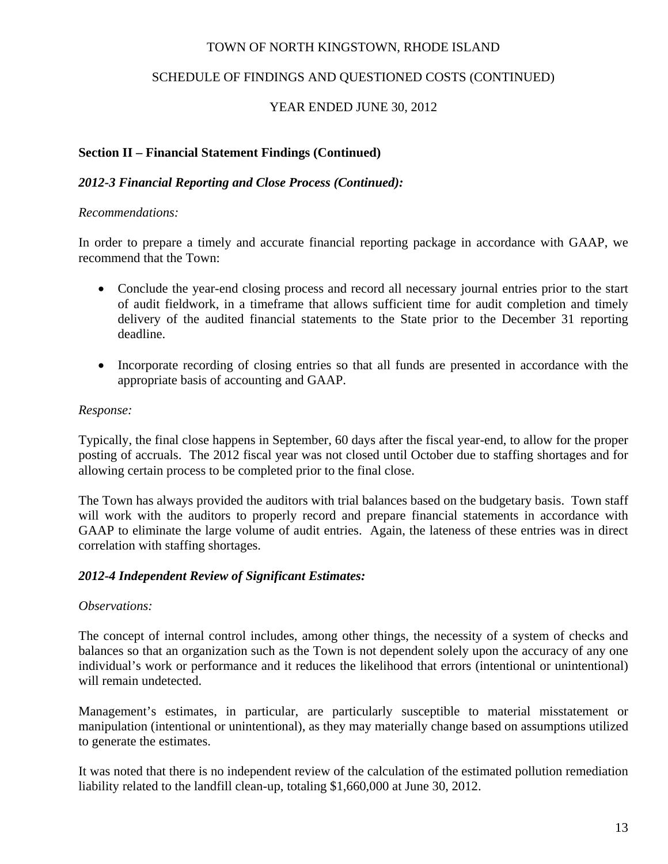## SCHEDULE OF FINDINGS AND QUESTIONED COSTS (CONTINUED)

## YEAR ENDED JUNE 30, 2012

## **Section II – Financial Statement Findings (Continued)**

#### *2012-3 Financial Reporting and Close Process (Continued):*

#### *Recommendations:*

In order to prepare a timely and accurate financial reporting package in accordance with GAAP, we recommend that the Town:

- Conclude the year-end closing process and record all necessary journal entries prior to the start of audit fieldwork, in a timeframe that allows sufficient time for audit completion and timely delivery of the audited financial statements to the State prior to the December 31 reporting deadline.
- Incorporate recording of closing entries so that all funds are presented in accordance with the appropriate basis of accounting and GAAP.

#### *Response:*

Typically, the final close happens in September, 60 days after the fiscal year-end, to allow for the proper posting of accruals. The 2012 fiscal year was not closed until October due to staffing shortages and for allowing certain process to be completed prior to the final close.

The Town has always provided the auditors with trial balances based on the budgetary basis. Town staff will work with the auditors to properly record and prepare financial statements in accordance with GAAP to eliminate the large volume of audit entries. Again, the lateness of these entries was in direct correlation with staffing shortages.

#### *2012-4 Independent Review of Significant Estimates:*

#### *Observations:*

The concept of internal control includes, among other things, the necessity of a system of checks and balances so that an organization such as the Town is not dependent solely upon the accuracy of any one individual's work or performance and it reduces the likelihood that errors (intentional or unintentional) will remain undetected.

Management's estimates, in particular, are particularly susceptible to material misstatement or manipulation (intentional or unintentional), as they may materially change based on assumptions utilized to generate the estimates.

It was noted that there is no independent review of the calculation of the estimated pollution remediation liability related to the landfill clean-up, totaling \$1,660,000 at June 30, 2012.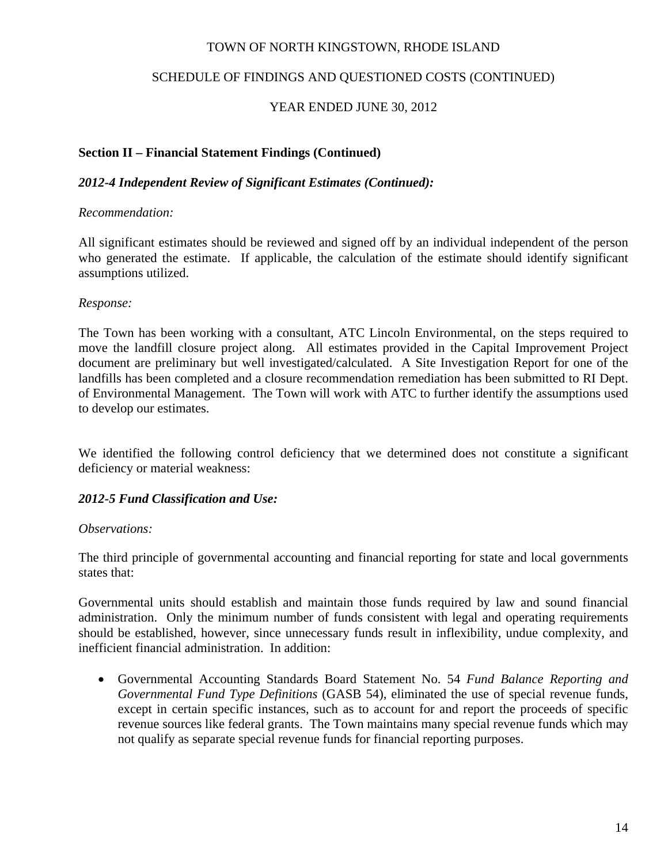## SCHEDULE OF FINDINGS AND QUESTIONED COSTS (CONTINUED)

## YEAR ENDED JUNE 30, 2012

## **Section II – Financial Statement Findings (Continued)**

#### *2012-4 Independent Review of Significant Estimates (Continued):*

#### *Recommendation:*

All significant estimates should be reviewed and signed off by an individual independent of the person who generated the estimate. If applicable, the calculation of the estimate should identify significant assumptions utilized.

#### *Response:*

The Town has been working with a consultant, ATC Lincoln Environmental, on the steps required to move the landfill closure project along. All estimates provided in the Capital Improvement Project document are preliminary but well investigated/calculated. A Site Investigation Report for one of the landfills has been completed and a closure recommendation remediation has been submitted to RI Dept. of Environmental Management. The Town will work with ATC to further identify the assumptions used to develop our estimates.

We identified the following control deficiency that we determined does not constitute a significant deficiency or material weakness:

#### *2012-5 Fund Classification and Use:*

#### *Observations:*

The third principle of governmental accounting and financial reporting for state and local governments states that:

Governmental units should establish and maintain those funds required by law and sound financial administration. Only the minimum number of funds consistent with legal and operating requirements should be established, however, since unnecessary funds result in inflexibility, undue complexity, and inefficient financial administration. In addition:

 Governmental Accounting Standards Board Statement No. 54 *Fund Balance Reporting and Governmental Fund Type Definitions* (GASB 54), eliminated the use of special revenue funds, except in certain specific instances, such as to account for and report the proceeds of specific revenue sources like federal grants. The Town maintains many special revenue funds which may not qualify as separate special revenue funds for financial reporting purposes.